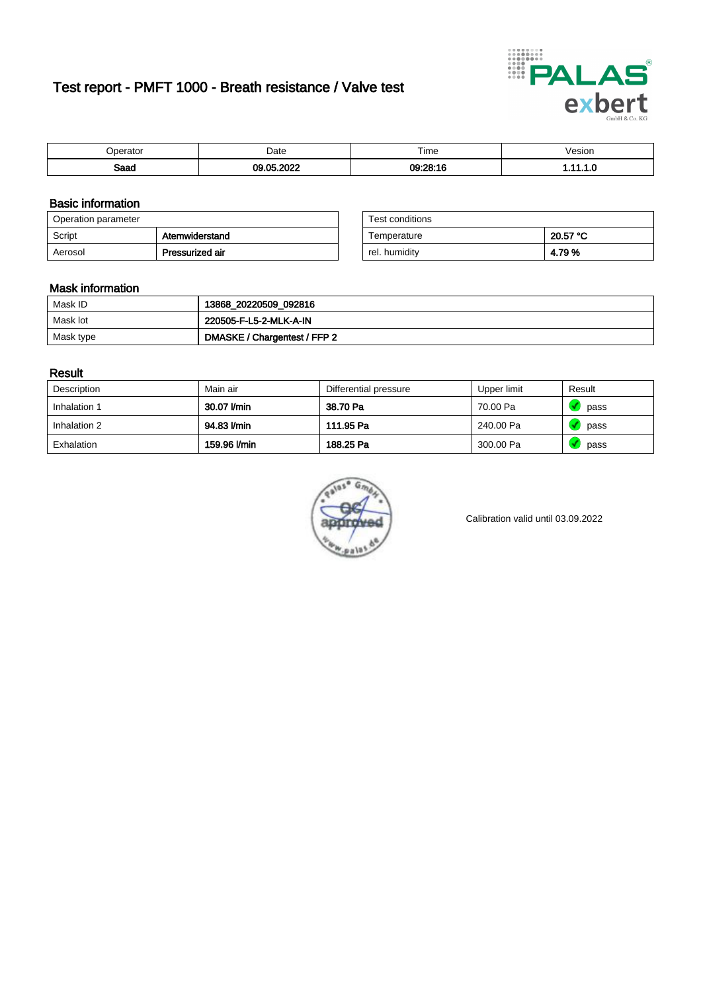# Test report - PMFT 1000 - Breath resistance / Valve test



| `nerator     | Date        | Time     | 'esıor<br>. |
|--------------|-------------|----------|-------------|
| Soon<br>oaau | 0.000<br>ΛE | 09:28:16 | . .         |

### Basic information

| Operation parameter |                 | Test conditions |          |
|---------------------|-----------------|-----------------|----------|
| Script              | Atemwiderstand  | Temperature     | 20.57 °C |
| Aerosol             | Pressurized air | rel. humidity   | 4.79%    |

| Test conditions |          |
|-----------------|----------|
| Temperature     | 20.57 °C |
| rel. humidity   | 4.79%    |

### Mask information

| Mask ID   | 13868_20220509_092816        |
|-----------|------------------------------|
| Mask lot  | 220505-F-L5-2-MLK-A-IN       |
| Mask type | DMASKE / Chargentest / FFP 2 |

### Result

| Description  | Main air     | Differential pressure | Upper limit | Result |
|--------------|--------------|-----------------------|-------------|--------|
| Inhalation 1 | 30.07 l/min  | 38.70 Pa              | 70.00 Pa    | pass   |
| Inhalation 2 | 94.83 l/min  | 111.95 Pa             | 240.00 Pa   | pass   |
| Exhalation   | 159.96 l/min | 188.25 Pa             | 300.00 Pa   | pass   |



Calibration valid until 03.09.2022